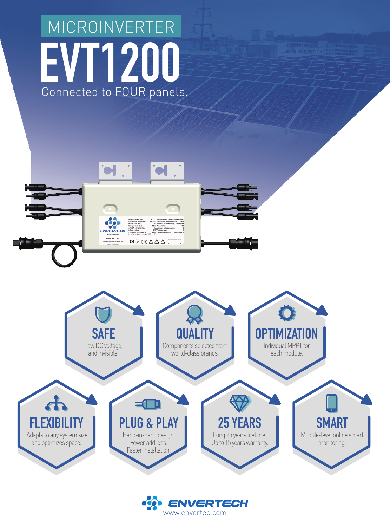## **EVT1200**  Connected to FOUR panels. MICROINVERTER